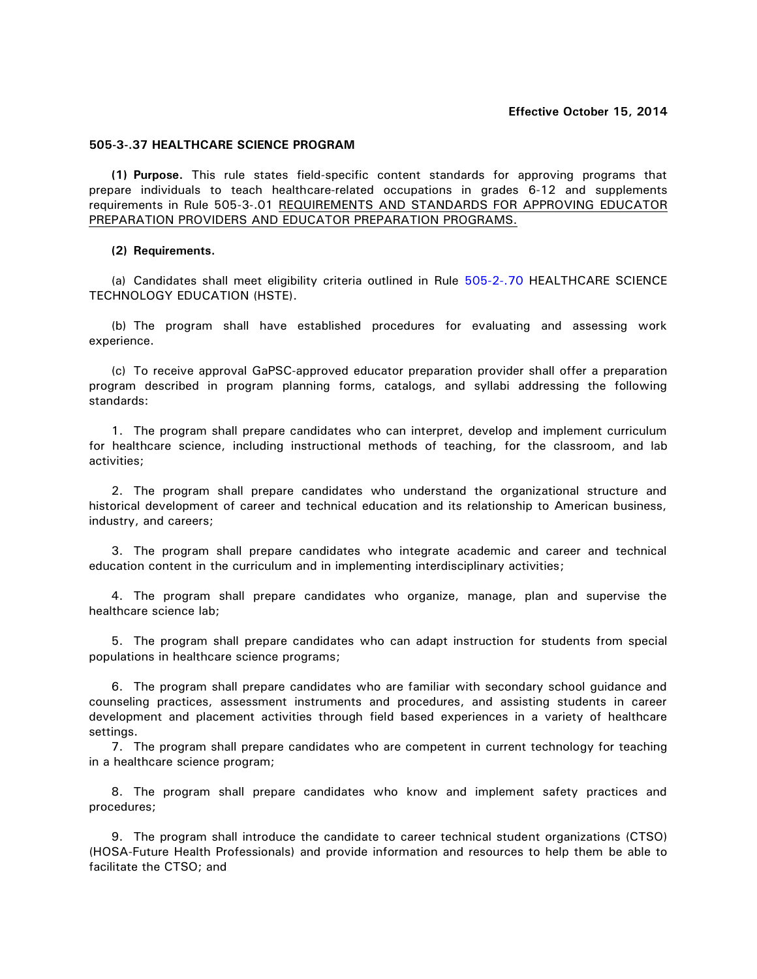## **505-3-.37 HEALTHCARE SCIENCE PROGRAM**

**(1) Purpose.** This rule states field-specific content standards for approving programs that prepare individuals to teach healthcare-related occupations in grades 6-12 and supplements requirements in Rule 505-3-.01 REQUIREMENTS AND STANDARDS FOR APPROVING EDUCATOR PREPARATION PROVIDERS AND EDUCATOR PREPARATION PROGRAMS.

## **(2) Requirements.**

(a) Candidates shall meet eligibility criteria outlined in Rule 505-2-.70 HEALTHCARE SCIENCE TECHNOLOGY EDUCATION (HSTE).

(b) The program shall have established procedures for evaluating and assessing work experience.

(c) To receive approval GaPSC-approved educator preparation provider shall offer a preparation program described in program planning forms, catalogs, and syllabi addressing the following standards:

1. The program shall prepare candidates who can interpret, develop and implement curriculum for healthcare science, including instructional methods of teaching, for the classroom, and lab activities;

2. The program shall prepare candidates who understand the organizational structure and historical development of career and technical education and its relationship to American business, industry, and careers;

3. The program shall prepare candidates who integrate academic and career and technical education content in the curriculum and in implementing interdisciplinary activities;

4. The program shall prepare candidates who organize, manage, plan and supervise the healthcare science lab;

5. The program shall prepare candidates who can adapt instruction for students from special populations in healthcare science programs;

6. The program shall prepare candidates who are familiar with secondary school guidance and counseling practices, assessment instruments and procedures, and assisting students in career development and placement activities through field based experiences in a variety of healthcare settings.

7. The program shall prepare candidates who are competent in current technology for teaching in a healthcare science program;

8. The program shall prepare candidates who know and implement safety practices and procedures;

9. The program shall introduce the candidate to career technical student organizations (CTSO) (HOSA-Future Health Professionals) and provide information and resources to help them be able to facilitate the CTSO; and